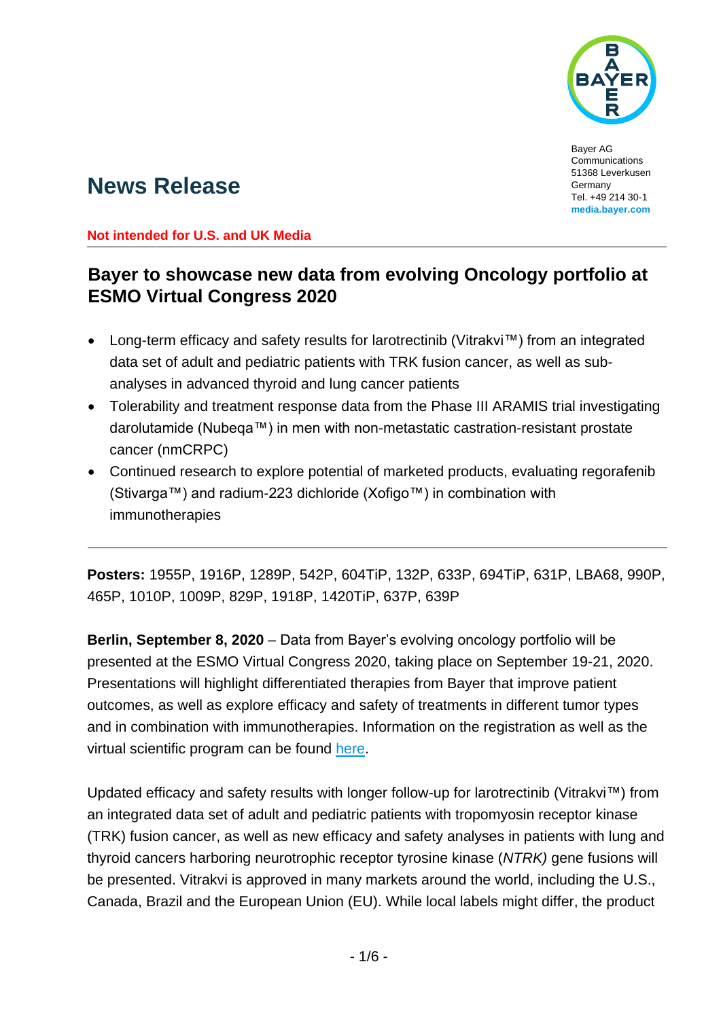

Bayer AG Communications 51368 Leverkusen Germany Tel. +49 214 30-1 **media.bayer.com**

# **News Release**

**Not intended for U.S. and UK Media**

## **Bayer to showcase new data from evolving Oncology portfolio at ESMO Virtual Congress 2020**

- Long-term efficacy and safety results for larotrectinib (Vitrakvi™) from an integrated data set of adult and pediatric patients with TRK fusion cancer, as well as subanalyses in advanced thyroid and lung cancer patients
- Tolerability and treatment response data from the Phase III ARAMIS trial investigating darolutamide (Nubeqa™) in men with non-metastatic castration-resistant prostate cancer (nmCRPC)
- Continued research to explore potential of marketed products, evaluating regorafenib (Stivarga™) and radium-223 dichloride (Xofigo™) in combination with immunotherapies

**Posters:** 1955P, 1916P, 1289P, 542P, 604TiP, 132P, 633P, 694TiP, 631P, LBA68, 990P, 465P, 1010P, 1009P, 829P, 1918P, 1420TiP, 637P, 639P

**Berlin, September 8, 2020** – Data from Bayer's evolving oncology portfolio will be presented at the ESMO Virtual Congress 2020, taking place on September 19-21, 2020. Presentations will highlight differentiated therapies from Bayer that improve patient outcomes, as well as explore efficacy and safety of treatments in different tumor types and in combination with immunotherapies. Information on the registration as well as the virtual scientific program can be found [here.](https://cslide.ctimeetingtech.com/esmo2020/attendee/confcal/session/calendar/2020-09-21)

Updated efficacy and safety results with longer follow-up for larotrectinib (Vitrakvi™) from an integrated data set of adult and pediatric patients with tropomyosin receptor kinase (TRK) fusion cancer, as well as new efficacy and safety analyses in patients with lung and thyroid cancers harboring neurotrophic receptor tyrosine kinase (*NTRK)* gene fusions will be presented. Vitrakvi is approved in many markets around the world, including the U.S., Canada, Brazil and the European Union (EU). While local labels might differ, the product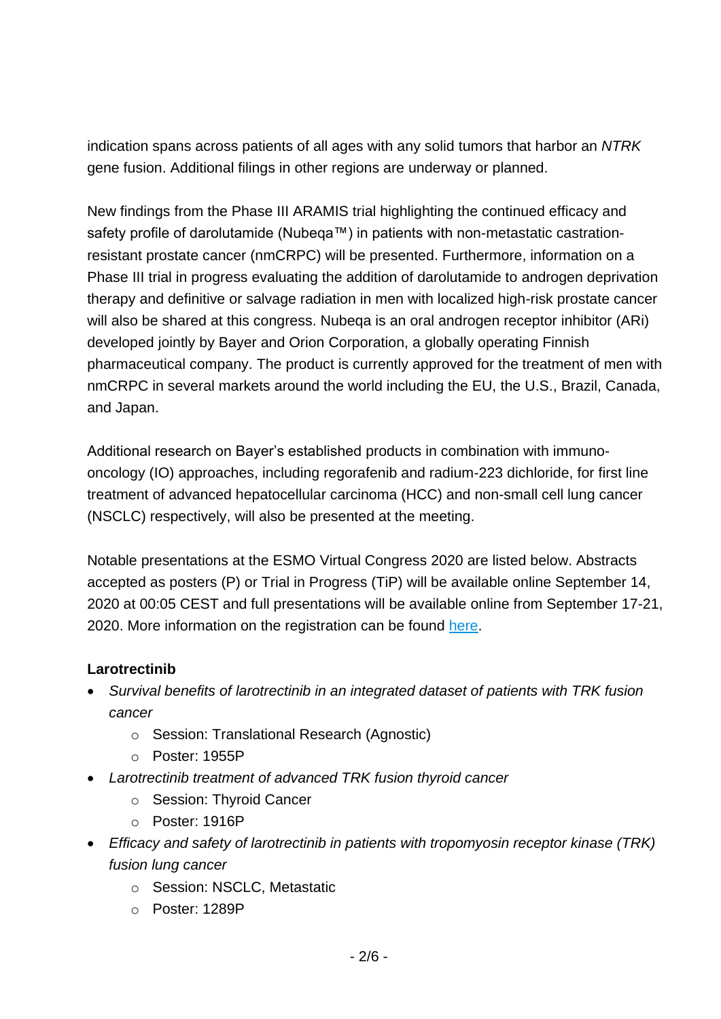indication spans across patients of all ages with any solid tumors that harbor an *NTRK* gene fusion. Additional filings in other regions are underway or planned.

New findings from the Phase III ARAMIS trial highlighting the continued efficacy and safety profile of darolutamide (Nubega™) in patients with non-metastatic castrationresistant prostate cancer (nmCRPC) will be presented. Furthermore, information on a Phase III trial in progress evaluating the addition of darolutamide to androgen deprivation therapy and definitive or salvage radiation in men with localized high-risk prostate cancer will also be shared at this congress. Nubeqa is an oral androgen receptor inhibitor (ARi) developed jointly by Bayer and Orion Corporation, a globally operating Finnish pharmaceutical company. The product is currently approved for the treatment of men with nmCRPC in several markets around the world including the EU, the U.S., Brazil, Canada, and Japan.

Additional research on Bayer's established products in combination with immunooncology (IO) approaches, including regorafenib and radium-223 dichloride, for first line treatment of advanced hepatocellular carcinoma (HCC) and non-small cell lung cancer (NSCLC) respectively, will also be presented at the meeting.

Notable presentations at the ESMO Virtual Congress 2020 are listed below. Abstracts accepted as posters (P) or Trial in Progress (TiP) will be available online September 14, 2020 at 00:05 CEST and full presentations will be available online from September 17-21, 2020. More information on the registration can be found [here.](https://www.esmo.org/meetings/esmo-virtual-congress-2020/registration)

## **Larotrectinib**

- *Survival benefits of larotrectinib in an integrated dataset of patients with TRK fusion cancer*
	- o Session: Translational Research (Agnostic)
	- o Poster: 1955P
- *Larotrectinib treatment of advanced TRK fusion thyroid cancer*
	- o Session: Thyroid Cancer
	- o Poster: 1916P
- *Efficacy and safety of larotrectinib in patients with tropomyosin receptor kinase (TRK) fusion lung cancer*
	- o Session: NSCLC, Metastatic
	- o Poster: 1289P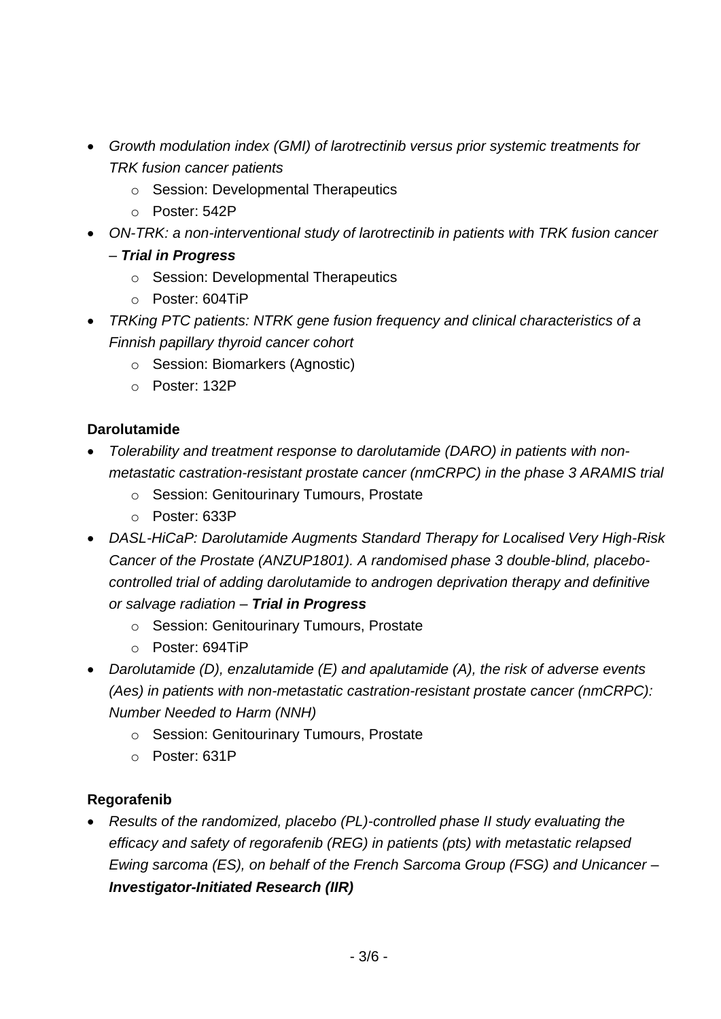- *Growth modulation index (GMI) of larotrectinib versus prior systemic treatments for TRK fusion cancer patients*
	- o Session: Developmental Therapeutics
	- o Poster: 542P
- *ON-TRK: a non-interventional study of larotrectinib in patients with TRK fusion cancer* 
	- *– Trial in Progress*
		- o Session: Developmental Therapeutics
		- o Poster: 604TiP
- *TRKing PTC patients: NTRK gene fusion frequency and clinical characteristics of a Finnish papillary thyroid cancer cohort*
	- o Session: Biomarkers (Agnostic)
	- o Poster: 132P

## **Darolutamide**

- *Tolerability and treatment response to darolutamide (DARO) in patients with nonmetastatic castration-resistant prostate cancer (nmCRPC) in the phase 3 ARAMIS trial*
	- o Session: Genitourinary Tumours, Prostate
	- o Poster: 633P
- *DASL-HiCaP: Darolutamide Augments Standard Therapy for Localised Very High-Risk Cancer of the Prostate (ANZUP1801). A randomised phase 3 double-blind, placebocontrolled trial of adding darolutamide to androgen deprivation therapy and definitive or salvage radiation – Trial in Progress*
	- o Session: Genitourinary Tumours, Prostate
	- o Poster: 694TiP
- *Darolutamide (D), enzalutamide (E) and apalutamide (A), the risk of adverse events (Aes) in patients with non-metastatic castration-resistant prostate cancer (nmCRPC): Number Needed to Harm (NNH)*
	- o Session: Genitourinary Tumours, Prostate
	- o Poster: 631P

## **Regorafenib**

 *Results of the randomized, placebo (PL)-controlled phase II study evaluating the efficacy and safety of regorafenib (REG) in patients (pts) with metastatic relapsed Ewing sarcoma (ES), on behalf of the French Sarcoma Group (FSG) and Unicancer – Investigator-Initiated Research (IIR)*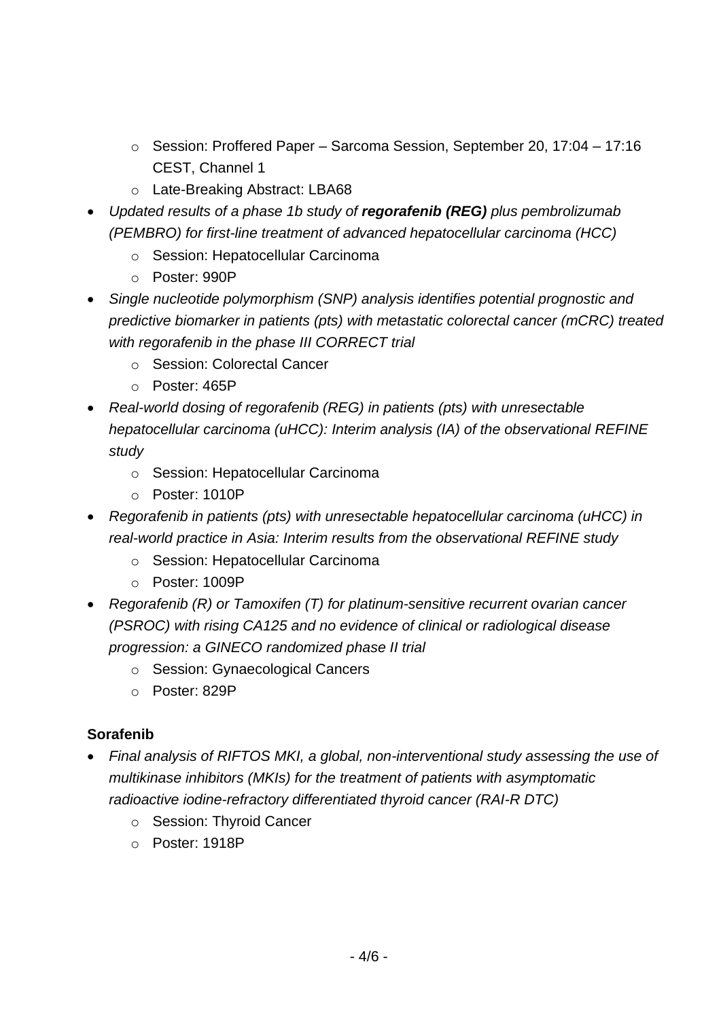- o Session: Proffered Paper Sarcoma Session, September 20, 17:04 17:16 CEST, Channel 1
- o Late-Breaking Abstract: LBA68
- *Updated results of a phase 1b study of regorafenib (REG) plus pembrolizumab (PEMBRO) for first-line treatment of advanced hepatocellular carcinoma (HCC)* 
	- o Session: Hepatocellular Carcinoma
	- o Poster: 990P
- *Single nucleotide polymorphism (SNP) analysis identifies potential prognostic and predictive biomarker in patients (pts) with metastatic colorectal cancer (mCRC) treated with regorafenib in the phase III CORRECT trial*
	- o Session: Colorectal Cancer
	- o Poster: 465P
- *Real-world dosing of regorafenib (REG) in patients (pts) with unresectable hepatocellular carcinoma (uHCC): Interim analysis (IA) of the observational REFINE study*
	- o Session: Hepatocellular Carcinoma
	- o Poster: 1010P
- *Regorafenib in patients (pts) with unresectable hepatocellular carcinoma (uHCC) in real-world practice in Asia: Interim results from the observational REFINE study*
	- o Session: Hepatocellular Carcinoma
	- o Poster: 1009P
- *Regorafenib (R) or Tamoxifen (T) for platinum-sensitive recurrent ovarian cancer (PSROC) with rising CA125 and no evidence of clinical or radiological disease progression: a GINECO randomized phase II trial*
	- o Session: Gynaecological Cancers
	- o Poster: 829P

## **Sorafenib**

- *Final analysis of RIFTOS MKI, a global, non-interventional study assessing the use of multikinase inhibitors (MKIs) for the treatment of patients with asymptomatic radioactive iodine-refractory differentiated thyroid cancer (RAI-R DTC)*
	- o Session: Thyroid Cancer
	- o Poster: 1918P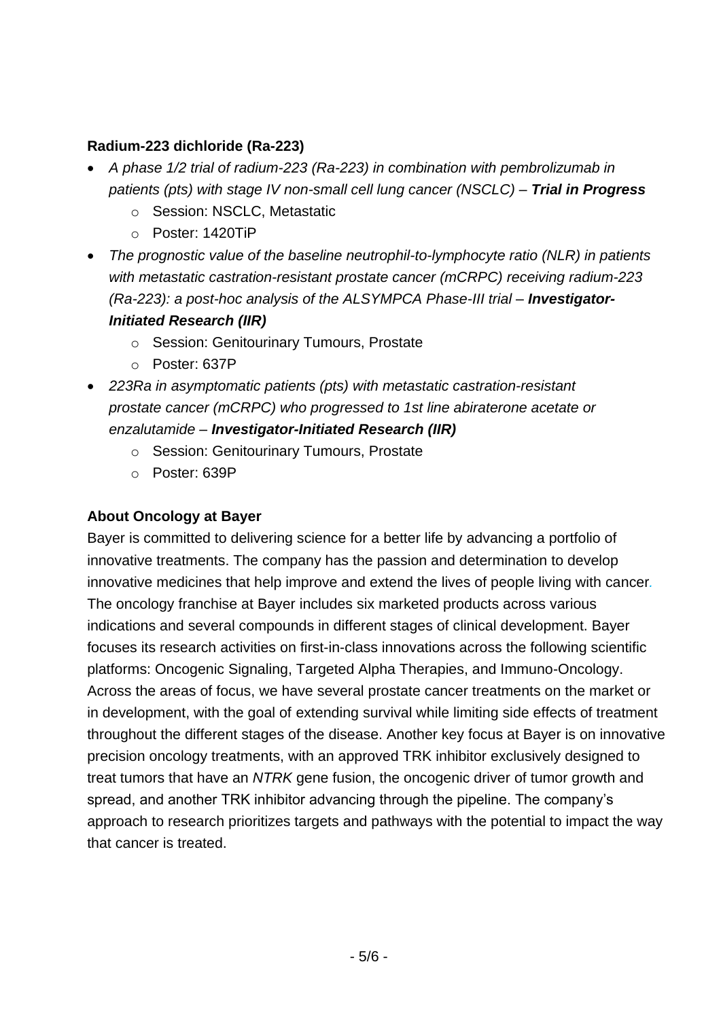### **Radium-223 dichloride (Ra-223)**

- *A phase 1/2 trial of radium-223 (Ra-223) in combination with pembrolizumab in patients (pts) with stage IV non-small cell lung cancer (NSCLC) – Trial in Progress*
	- o Session: NSCLC, Metastatic
	- o Poster: 1420TiP
- The prognostic value of the baseline neutrophil-to-lymphocyte ratio *(NLR)* in patients *with metastatic castration-resistant prostate cancer (mCRPC) receiving radium-223 (Ra-223): a post-hoc analysis of the ALSYMPCA Phase-III trial – Investigator-Initiated Research (IIR)*
	- o Session: Genitourinary Tumours, Prostate
	- o Poster: 637P
- *223Ra in asymptomatic patients (pts) with metastatic castration-resistant prostate cancer (mCRPC) who progressed to 1st line abiraterone acetate or enzalutamide – Investigator-Initiated Research (IIR)*
	- o Session: Genitourinary Tumours, Prostate
	- o Poster: 639P

#### **About Oncology at Bayer**

Bayer is committed to delivering science for a better life by advancing a portfolio of innovative treatments. The company has the passion and determination to develop innovative medicines that help improve and extend the lives of people living with cancer*.* The oncology franchise at Bayer includes six marketed products across various indications and several compounds in different stages of clinical development. Bayer focuses its research activities on first-in-class innovations across the following scientific platforms: Oncogenic Signaling, Targeted Alpha Therapies, and Immuno-Oncology. Across the areas of focus, we have several prostate cancer treatments on the market or in development, with the goal of extending survival while limiting side effects of treatment throughout the different stages of the disease. Another key focus at Bayer is on innovative precision oncology treatments, with an approved TRK inhibitor exclusively designed to treat tumors that have an *NTRK* gene fusion, the oncogenic driver of tumor growth and spread, and another TRK inhibitor advancing through the pipeline. The company's approach to research prioritizes targets and pathways with the potential to impact the way that cancer is treated.